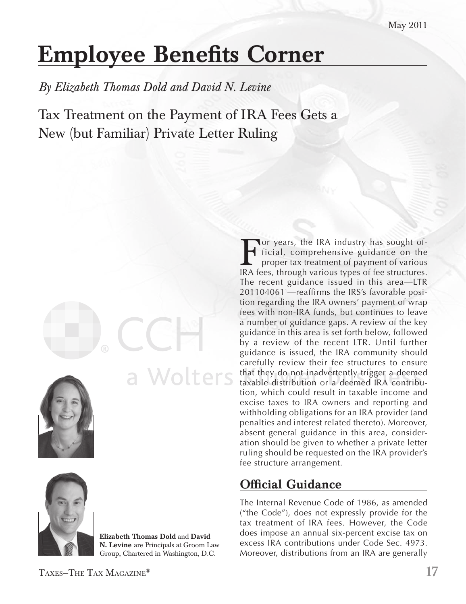# Employee Benefits Corner

*By Elizabeth Thomas Dold and David N. Levine*

Tax Treatment on the Payment of IRA Fees Gets a New (but Familiar) Private Letter Ruling





Elizabeth Thomas Dold and David N. Levine are Principals at Groom Law Group, Chartered in Washington, D.C.

a Wolters

For years, the IRA industry has sought of-<br>ficial, comprehensive guidance on the<br>proper tax treatment of payment of various<br>IRA fees, through various types of fee structures ficial, comprehensive guidance on the proper tax treatment of payment of various IRA fees, through various types of fee structures. The recent guidance issued in this area—LTR 201104061<sup>1</sup> —reaffirms the IRS's favorable position regarding the IRA owners' payment of wrap fees with non-IRA funds, but continues to leave a number of guidance gaps. A review of the key guidance in this area is set forth below, followed by a review of the recent LTR. Until further guidance is issued, the IRA community should carefully review their fee structures to ensure that they do not inadvertently trigger a deemed taxable distribution or a deemed IRA contribution, which could result in taxable income and excise taxes to IRA owners and reporting and withholding obligations for an IRA provider (and penalties and interest related thereto). Moreover, absent general guidance in this area, consideration should be given to whether a private letter ruling should be requested on the IRA provider's fee structure arrangement.

## Official Guidance

The Internal Revenue Code of 1986, as amended ("the Code"), does not expressly provide for the tax treatment of IRA fees. However, the Code does impose an annual six-percent excise tax on excess IRA contributions under Code Sec. 4973. Moreover, distributions from an IRA are generally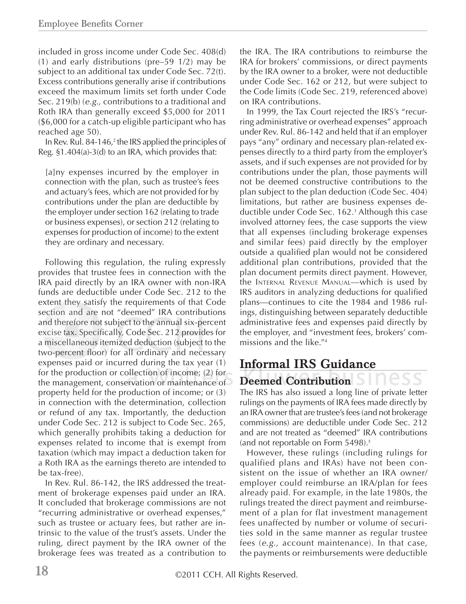included in gross income under Code Sec. 408(d) (1) and early distributions (pre–59 1/2) may be subject to an additional tax under Code Sec. 72(t). Excess contributions generally arise if contributions exceed the maximum limits set forth under Code Sec. 219(b) (*e.g.,* contributions to a traditional and Roth IRA than generally exceed \$5,000 for 2011 (\$6,000 for a catch-up eligible participant who has reached age 50).

In Rev. Rul. 84-146,<sup>2</sup> the IRS applied the principles of Reg. §1.404(a)-3(d) to an IRA, which provides that:

[a]ny expenses incurred by the employer in connection with the plan, such as trustee's fees and actuary's fees, which are not provided for by contributions under the plan are deductible by the employer under section 162 (relating to trade or business expenses), or section 212 (relating to expenses for production of income) to the extent they are ordinary and necessary.

Following this regulation, the ruling expressly provides that trustee fees in connection with the IRA paid directly by an IRA owner with non-IRA funds are deductible under Code Sec. 212 to the extent they satisfy the requirements of that Code section and are not "deemed" IRA contributions and therefore not subject to the annual six-percent excise tax. Specifically, Code Sec. 212 provides for a miscellaneous itemized deduction (subject to the two-percent floor) for all ordinary and necessary expenses paid or incurred during the tax year (1) for the production or collection of income; (2) for the management, conservation or maintenance of property held for the production of income; or (3) in connection with the determination, collection or refund of any tax. Importantly, the deduction under Code Sec. 212 is subject to Code Sec. 265, which generally prohibits taking a deduction for expenses related to income that is exempt from taxation (which may impact a deduction taken for a Roth IRA as the earnings thereto are intended to be tax-free).

In Rev. Rul. 86-142, the IRS addressed the treatment of brokerage expenses paid under an IRA. It concluded that brokerage commissions are not "recurring administrative or overhead expenses," such as trustee or actuary fees, but rather are intrinsic to the value of the trust's assets. Under the ruling, direct payment by the IRA owner of the brokerage fees was treated as a contribution to the IRA. The IRA contributions to reimburse the IRA for brokers' commissions, or direct payments by the IRA owner to a broker, were not deductible under Code Sec. 162 or 212, but were subject to the Code limits (Code Sec. 219, referenced above) on IRA contributions.

In 1999, the Tax Court rejected the IRS's "recurring administrative or overhead expenses" approach under Rev. Rul. 86-142 and held that if an employer pays "any" ordinary and necessary plan-related expenses directly to a third party from the employer's assets, and if such expenses are not provided for by contributions under the plan, those payments will not be deemed constructive contributions to the plan subject to the plan deduction (Code Sec. 404) limitations, but rather are business expenses deductible under Code Sec. 162.<sup>3</sup> Although this case involved attorney fees, the case supports the view that all expenses (including brokerage expenses and similar fees) paid directly by the employer outside a qualified plan would not be considered additional plan contributions, provided that the plan document permits direct payment. However, the Internal Revenue Manual—which is used by IRS auditors in analyzing deductions for qualified plans—continues to cite the 1984 and 1986 rulings, distinguishing between separately deductible administrative fees and expenses paid directly by the employer, and "investment fees, brokers' commissions and the like."<sup>4</sup>

### Informal IRS Guidance Deemed Contribution

The IRS has also issued a long line of private letter rulings on the payments of IRA fees made directly by an IRA owner that are trustee's fees (and not brokerage commissions) are deductible under Code Sec. 212 and are not treated as "deemed" IRA contributions (and not reportable on Form 5498).<sup>5</sup>

However, these rulings (including rulings for qualified plans and IRAs) have not been consistent on the issue of whether an IRA owner/ employer could reimburse an IRA/plan for fees already paid. For example, in the late 1980s, the rulings treated the direct payment and reimbursement of a plan for flat investment management fees unaffected by number or volume of securities sold in the same manner as regular trustee fees (*e.g.,* account maintenance). In that case, the payments or reimbursements were deductible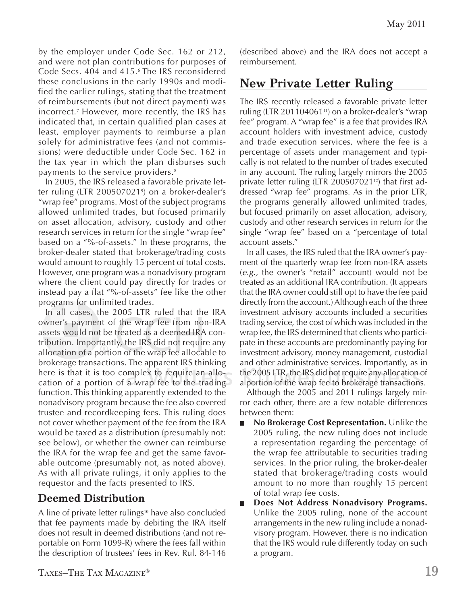by the employer under Code Sec. 162 or 212, and were not plan contributions for purposes of Code Secs. 404 and 415.<sup>6</sup> The IRS reconsidered these conclusions in the early 1990s and modified the earlier rulings, stating that the treatment of reimbursements (but not direct payment) was incorrect.<sup>7</sup> However, more recently, the IRS has indicated that, in certain qualified plan cases at least, employer payments to reimburse a plan solely for administrative fees (and not commissions) were deductible under Code Sec. 162 in the tax year in which the plan disburses such payments to the service providers.<sup>8</sup>

In 2005, the IRS released a favorable private letter ruling (LTR 200507021<sup>9</sup> ) on a broker-dealer's "wrap fee" programs. Most of the subject programs allowed unlimited trades, but focused primarily on asset allocation, advisory, custody and other research services in return for the single "wrap fee" based on a "%-of-assets." In these programs, the broker-dealer stated that brokerage/trading costs would amount to roughly 15 percent of total costs. However, one program was a nonadvisory program where the client could pay directly for trades or instead pay a flat "%-of-assets" fee like the other programs for unlimited trades.

In all cases, the 2005 LTR ruled that the IRA owner's payment of the wrap fee from non-IRA assets would not be treated as a deemed IRA contribution. Importantly, the IRS did not require any allocation of a portion of the wrap fee allocable to brokerage transactions. The apparent IRS thinking here is that it is too complex to require an allocation of a portion of a wrap fee to the trading function. This thinking apparently extended to the nonadvisory program because the fee also covered trustee and recordkeeping fees. This ruling does not cover whether payment of the fee from the IRA would be taxed as a distribution (presumably not: see below), or whether the owner can reimburse the IRA for the wrap fee and get the same favorable outcome (presumably not, as noted above). As with all private rulings, it only applies to the requestor and the facts presented to IRS.

#### Deemed Distribution

A line of private letter rulings<sup>10</sup> have also concluded that fee payments made by debiting the IRA itself does not result in deemed distributions (and not reportable on Form 1099-R) where the fees fall within the description of trustees' fees in Rev. Rul. 84-146

(described above) and the IRA does not accept a reimbursement.

#### New Private Letter Ruling

The IRS recently released a favorable private letter ruling (LTR 201104061 $11$ ) on a broker-dealer's "wrap fee" program. A "wrap fee" is a fee that provides IRA account holders with investment advice, custody and trade execution services, where the fee is a percentage of assets under management and typically is not related to the number of trades executed in any account. The ruling largely mirrors the 2005 private letter ruling (LTR 20050702112) that first addressed "wrap fee" programs. As in the prior LTR, the programs generally allowed unlimited trades, but focused primarily on asset allocation, advisory, custody and other research services in return for the single "wrap fee" based on a "percentage of total account assets."

In all cases, the IRS ruled that the IRA owner's payment of the quarterly wrap fee from non-IRA assets (*e.g.,* the owner's "retail" account) would not be treated as an additional IRA contribution. (It appears that the IRA owner could still opt to have the fee paid directly from the account.) Although each of the three investment advisory accounts included a securities trading service, the cost of which was included in the wrap fee, the IRS determined that clients who participate in these accounts are predominantly paying for investment advisory, money management, custodial and other administrative services. Importantly, as in the 2005 LTR, the IRS did not require any allocation of a portion of the wrap fee to brokerage transactions.

Although the 2005 and 2011 rulings largely mirror each other, there are a few notable differences between them:

- **No Brokerage Cost Representation.** Unlike the 2005 ruling, the new ruling does not include a representation regarding the percentage of the wrap fee attributable to securities trading services. In the prior ruling, the broker-dealer stated that brokerage/trading costs would amount to no more than roughly 15 percent of total wrap fee costs.
- **Does Not Address Nonadvisory Programs.**  $\blacksquare$ Unlike the 2005 ruling, none of the account arrangements in the new ruling include a nonadvisory program. However, there is no indication that the IRS would rule differently today on such a program.